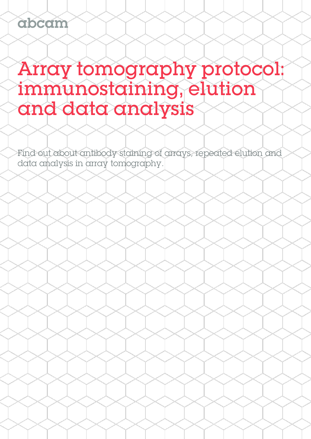# Array tomography protocol: immunostaining, elution and data analysis

Find out about antibody staining of arrays, repeated elution and data analysis in array tomography.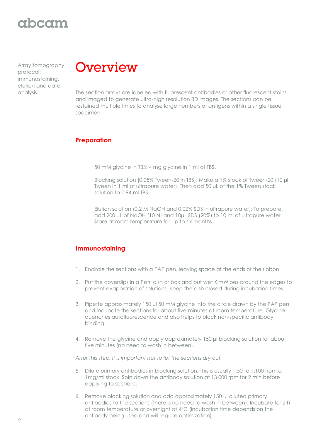# abcam

Array tomography protocol: immunostaining, elution and data



analysis The section arrays are labeled with fluorescent antibodies or other fluorescent stains and imaged to generate ultra-high resolution 3D images. The sections can be restained multiple times to analyse large numbers of antigens within a single tissue specimen.

#### **Preparation**

- − 50 mM glycine in TBS: 4 mg glycine in 1 ml of TBS.
- − Blocking solution (0.05% Tween-20 in TBS): Make a 1% stock of Tween-20 (10 μl Tween in 1 ml of ultrapure water). Then add 50 μL of the 1% Tween stock solution to 0.94 ml TBS.
- − Elution solution (0.2 M NaOH and 0.02% SDS in ultrapure water): To prepare, add 200 μL of NaOH (10 N) and 10μL SDS (20%) to 10 ml of ultrapure water. Store at room temperature for up to six months.

### **Immunostaining**

- 1. Encircle the sections with a PAP pen, leaving space at the ends of the ribbon.
- 2. Put the coverslips in a Petri dish or box and put wet KimWipes around the edges to prevent evaporation of solutions. Keep the dish closed during incubation times.
- 3. Pipette approximately 150 μl 50 mM glycine into the circle drawn by the PAP pen and incubate the sections for about five minutes at room temperature. Glycine quenches autofluorescence and also helps to block non-specific antibody binding.
- 4. Remove the glycine and apply approximately 150 μl blocking solution for about five minutes (no need to wash in between).

*After this step, it is important not to let the sections dry out.* 

- 5. Dilute primary antibodies in blocking solution. This is usually 1:50 to 1:100 from a 1mg/ml stock. Spin down the antibody solution at 13,000 rpm for 2 min before applying to sections.
- 6. Remove blocking solution and add approximately 150 μl diluted primary antibodies to the sections (there is no need to wash in between). Incubate for 2 h at room temperature or overnight at 4°C (incubation time depends on the antibody being used and will require optimization).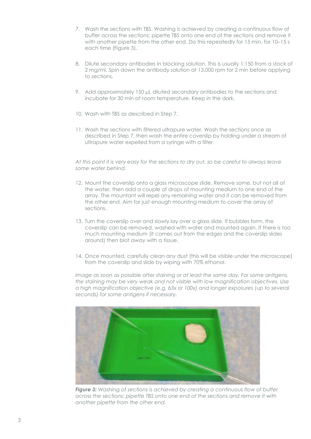- 7. Wash the sections with TBS. Washing is achieved by creating a continuous flow of buffer across the sections; pipette TBS onto one end of the sections and remove it with another pipette from the other end. Do this repeatedly for 15 min, for 10–15 s each time (Figure 3).
- 8. Dilute secondary antibodies in blocking solution. This is usually 1:150 from a stock of 2 mg/ml. Spin down the antibody solution at 13,000 rpm for 2 min before applying to sections.
- 9. Add approximately 150 μL diluted secondary antibodies to the sections and incubate for 30 min at room temperature. Keep in the dark.
- 10. Wash with TBS as described in Step 7.
- 11. Wash the sections with filtered ultrapure water. Wash the sections once as described in Step 7, then wash the entire coverslip by holding under a stream of ultrapure water expelled from a syringe with a filter.

*At this point it is very easy for the sections to dry out, so be careful to always leave some water behind.*

- 12. Mount the coverslip onto a glass microscope slide. Remove some, but not all of the water, then add a couple of drops of mounting medium to one end of the array. The mountant will repel any remaining water and it can be removed from the other end. Aim for just enough mounting medium to cover the array of sections.
- 13. Turn the coverslip over and slowly lay over a glass slide. If bubbles form, the coverslip can be removed, washed with water and mounted again. If there is too much mounting medium (it comes out from the edges and the coverslip slides around) then blot away with a tissue.
- 14. Once mounted, carefully clean any dust (this will be visible under the microscope) from the coverslip and slide by wiping with 70% ethanol.

*Image as soon as possible after staining or at least the same day. For some antigens, the staining may be very weak and not visible with low magnification objectives. Use a high magnification objective (e.g. 63x or 100x) and longer exposures (up to several seconds) for some antigens if necessary.*



*Figure 3: Washing of sections is achieved by creating a continuous flow of buffer across the sections; pipette TBS onto one end of the sections and remove it with another pipette from the other end.*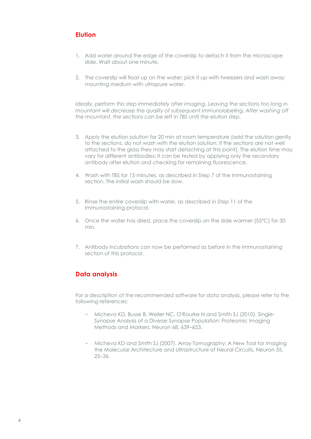### **Elution**

- 1. Add water around the edge of the coverslip to detach it from the microscope slide. Wait about one minute.
- 2. The coverslip will float up on the water; pick it up with tweezers and wash away mounting medium with ultrapure water.

*Ideally, perform this step immediately after imaging. Leaving the sections too long in mountant will decrease the quality of subsequent immunolabeling. After washing off the mountant, the sections can be left in TBS until the elution step.*

- 3. Apply the elution solution for 20 min at room temperature (add the solution gently to the sections, do not wash with the elution solution; if the sections are not well attached to the glass they may start detaching at this point). The elution time may vary for different antibodies; it can be tested by applying only the secondary antibody after elution and checking for remaining fluorescence.
- 4. Wash with TBS for 15 minutes, as described in Step 7 of the Immunostaining section. The initial wash should be slow.
- 5. Rinse the entire coverslip with water, as described in Step 11 of the Immunostaining protocol.
- 6. Once the water has dried, place the coverslip on the slide warmer (55°C) for 30 min.
- 7. Antibody incubations can now be performed as before in the Immunostaining section of this protocol.

#### **Data analysis**

For a description of the recommended software for data analysis, please refer to the following references:

- − Micheva KD, Busse B, Weiler NC, O'Rourke N and Smith SJ (2010). Single-Synapse Analysis of a Diverse Synapse Population: Proteomic Imaging Methods and Markers. Neuron 68, 639–653.
- − Micheva KD and Smith SJ (2007). Array Tomography: A New Tool for Imaging the Molecular Architecture and Ultrastructure of Neural Circuits. Neuron 55, 25–36.